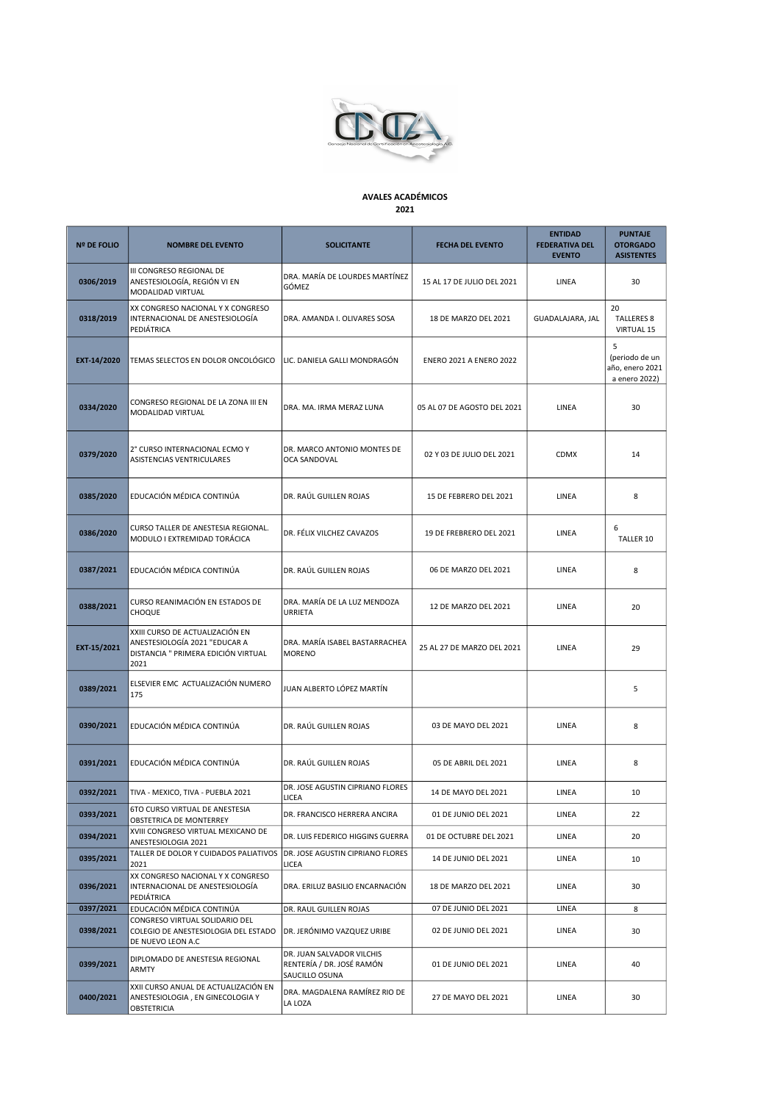

## AVALES ACADÉMICOS 2021

| <b>Nº DE FOLIO</b> | <b>NOMBRE DEL EVENTO</b>                                                                                        | <b>SOLICITANTE</b>                                                       | <b>FECHA DEL EVENTO</b>        | <b>ENTIDAD</b><br><b>FEDERATIVA DEL</b><br><b>EVENTO</b> | <b>PUNTAJE</b><br><b>OTORGADO</b><br><b>ASISTENTES</b>  |
|--------------------|-----------------------------------------------------------------------------------------------------------------|--------------------------------------------------------------------------|--------------------------------|----------------------------------------------------------|---------------------------------------------------------|
| 0306/2019          | III CONGRESO REGIONAL DE<br>ANESTESIOLOGÍA, REGIÓN VI EN<br>MODALIDAD VIRTUAL                                   | DRA. MARÍA DE LOURDES MARTÍNEZ<br>GÓMEZ                                  | 15 AL 17 DE JULIO DEL 2021     | LINEA                                                    | 30                                                      |
| 0318/2019          | XX CONGRESO NACIONAL Y X CONGRESO<br>INTERNACIONAL DE ANESTESIOLOGÍA<br>PEDIÁTRICA                              | DRA. AMANDA I. OLIVARES SOSA                                             | 18 DE MARZO DEL 2021           | GUADALAJARA, JAL                                         | 20<br><b>TALLERES 8</b><br><b>VIRTUAL 15</b>            |
| EXT-14/2020        | TEMAS SELECTOS EN DOLOR ONCOLÓGICO                                                                              | LIC. DANIELA GALLI MONDRAGÓN                                             | <b>ENERO 2021 A ENERO 2022</b> |                                                          | 5<br>(periodo de un<br>año, enero 2021<br>a enero 2022) |
| 0334/2020          | CONGRESO REGIONAL DE LA ZONA III EN<br>MODALIDAD VIRTUAL                                                        | DRA. MA. IRMA MERAZ LUNA                                                 | 05 AL 07 DE AGOSTO DEL 2021    | LINEA                                                    | 30                                                      |
| 0379/2020          | 2° CURSO INTERNACIONAL ECMO Y<br>ASISTENCIAS VENTRICULARES                                                      | DR. MARCO ANTONIO MONTES DE<br>OCA SANDOVAL                              | 02 Y 03 DE JULIO DEL 2021      | <b>CDMX</b>                                              | 14                                                      |
| 0385/2020          | EDUCACIÓN MÉDICA CONTINÚA                                                                                       | DR. RAÚL GUILLEN ROJAS                                                   | 15 DE FEBRERO DEL 2021         | LINEA                                                    | 8                                                       |
| 0386/2020          | CURSO TALLER DE ANESTESIA REGIONAL.<br>MODULO I EXTREMIDAD TORÁCICA                                             | DR. FÉLIX VILCHEZ CAVAZOS                                                | 19 DE FREBRERO DEL 2021        | LINEA                                                    | 6<br><b>TALLER 10</b>                                   |
| 0387/2021          | EDUCACIÓN MÉDICA CONTINÚA                                                                                       | DR. RAÚL GUILLEN ROJAS                                                   | 06 DE MARZO DEL 2021           | LINEA                                                    | 8                                                       |
| 0388/2021          | CURSO REANIMACIÓN EN ESTADOS DE<br>CHOQUE                                                                       | DRA. MARÍA DE LA LUZ MENDOZA<br>URRIETA                                  | 12 DE MARZO DEL 2021           | LINEA                                                    | 20                                                      |
| EXT-15/2021        | XXIII CURSO DE ACTUALIZACIÓN EN<br>ANESTESIOLOGÍA 2021 "EDUCAR A<br>DISTANCIA " PRIMERA EDICIÓN VIRTUAL<br>2021 | DRA. MARÍA ISABEL BASTARRACHEA<br><b>MORENO</b>                          | 25 AL 27 DE MARZO DEL 2021     | LINEA                                                    | 29                                                      |
| 0389/2021          | ELSEVIER EMC ACTUALIZACIÓN NUMERO<br>175                                                                        | JUAN ALBERTO LÓPEZ MARTÍN                                                |                                |                                                          | 5                                                       |
| 0390/2021          | EDUCACIÓN MÉDICA CONTINÚA                                                                                       | DR. RAÚL GUILLEN ROJAS                                                   | 03 DE MAYO DEL 2021            | LINEA                                                    | 8                                                       |
| 0391/2021          | EDUCACIÓN MÉDICA CONTINÚA                                                                                       | DR. RAÚL GUILLEN ROJAS                                                   | 05 DE ABRIL DEL 2021           | LINEA                                                    | 8                                                       |
| 0392/2021          | TIVA - MEXICO, TIVA - PUEBLA 2021                                                                               | DR. JOSE AGUSTIN CIPRIANO FLORES<br><b>LICEA</b>                         | 14 DE MAYO DEL 2021            | LINEA                                                    | 10                                                      |
| 0393/2021          | 6TO CURSO VIRTUAL DE ANESTESIA<br>OBSTETRICA DE MONTERREY                                                       | DR. FRANCISCO HERRERA ANCIRA                                             | 01 DE JUNIO DEL 2021           | LINEA                                                    | 22                                                      |
| 0394/2021          | XVIII CONGRESO VIRTUAL MEXICANO DE<br>ANESTESIOLOGIA 2021                                                       | DR. LUIS FEDERICO HIGGINS GUERRA                                         | 01 DE OCTUBRE DEL 2021         | LINEA                                                    | 20                                                      |
| 0395/2021          | TALLER DE DOLOR Y CUIDADOS PALIATIVOS<br>2021                                                                   | DR. JOSE AGUSTIN CIPRIANO FLORES<br>LICEA                                | 14 DE JUNIO DEL 2021           | LINEA                                                    | 10                                                      |
| 0396/2021          | XX CONGRESO NACIONAL Y X CONGRESO<br>INTERNACIONAL DE ANESTESIOLOGÍA<br>PEDIÁTRICA                              | DRA. ERILUZ BASILIO ENCARNACIÓN                                          | 18 DE MARZO DEL 2021           | LINEA                                                    | 30                                                      |
| 0397/2021          | EDUCACIÓN MÉDICA CONTINÚA                                                                                       | DR. RAUL GUILLEN ROJAS                                                   | 07 DE JUNIO DEL 2021           | LINEA                                                    | 8                                                       |
| 0398/2021          | CONGRESO VIRTUAL SOLIDARIO DEL<br>COLEGIO DE ANESTESIOLOGIA DEL ESTADO<br>DE NUEVO LEON A.C                     | DR. JERÓNIMO VAZQUEZ URIBE                                               | 02 DE JUNIO DEL 2021           | LINEA                                                    | 30                                                      |
| 0399/2021          | DIPLOMADO DE ANESTESIA REGIONAL<br>ARMTY                                                                        | DR. JUAN SALVADOR VILCHIS<br>RENTERÍA / DR. JOSÉ RAMÓN<br>SAUCILLO OSUNA | 01 DE JUNIO DEL 2021           | LINEA                                                    | 40                                                      |
| 0400/2021          | XXII CURSO ANUAL DE ACTUALIZACIÓN EN<br>ANESTESIOLOGIA, EN GINECOLOGIA Y<br>OBSTETRICIA                         | DRA. MAGDALENA RAMÍREZ RIO DE<br>LA LOZA                                 | 27 DE MAYO DEL 2021            | LINEA                                                    | 30                                                      |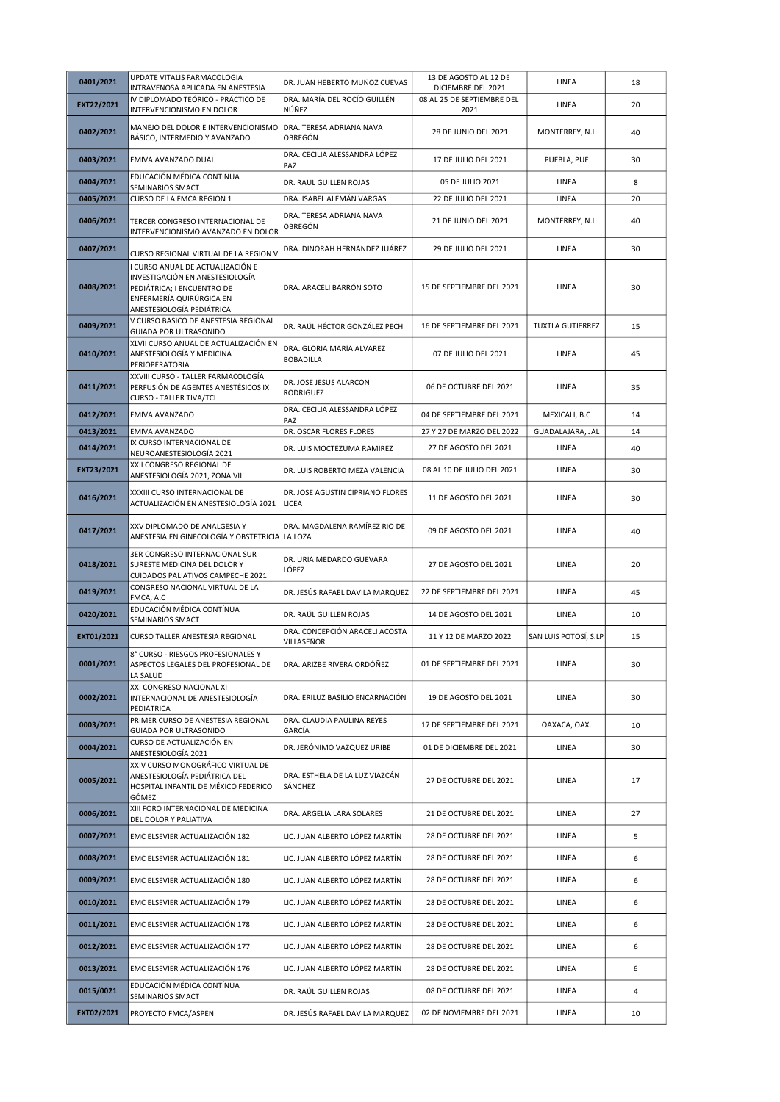| 0401/2021  | UPDATE VITALIS FARMACOLOGIA                                                                                                                                | DR. JUAN HEBERTO MUÑOZ CUEVAS                    | 13 DE AGOSTO AL 12 DE                            | LINEA                   | 18             |
|------------|------------------------------------------------------------------------------------------------------------------------------------------------------------|--------------------------------------------------|--------------------------------------------------|-------------------------|----------------|
|            | INTRAVENOSA APLICADA EN ANESTESIA<br>IV DIPLOMADO TEÓRICO - PRÁCTICO DE                                                                                    | DRA. MARÍA DEL ROCÍO GUILLÉN                     | DICIEMBRE DEL 2021<br>08 AL 25 DE SEPTIEMBRE DEL |                         |                |
| EXT22/2021 | INTERVENCIONISMO EN DOLOR                                                                                                                                  | ∣NÚÑEZ                                           | 2021                                             | LINEA                   | 20             |
| 0402/2021  | MANEJO DEL DOLOR E INTERVENCIONISMO   DRA. TERESA ADRIANA NAVA<br>BÁSICO, INTERMEDIO Y AVANZADO                                                            | OBREGÓN                                          | 28 DE JUNIO DEL 2021                             | MONTERREY, N.L          | 40             |
| 0403/2021  | EMIVA AVANZADO DUAL                                                                                                                                        | DRA. CECILIA ALESSANDRA LÓPEZ<br>PAZ             | 17 DE JULIO DEL 2021                             | PUEBLA, PUE             | 30             |
| 0404/2021  | EDUCACIÓN MÉDICA CONTINUA<br>SEMINARIOS SMACT                                                                                                              | DR. RAUL GUILLEN ROJAS                           | 05 DE JULIO 2021                                 | LINEA                   | 8              |
| 0405/2021  | CURSO DE LA FMCA REGION 1                                                                                                                                  | DRA. ISABEL ALEMÁN VARGAS                        | 22 DE JULIO DEL 2021                             | LINEA                   | 20             |
| 0406/2021  | TERCER CONGRESO INTERNACIONAL DE<br>INTERVENCIONISMO AVANZADO EN DOLOR                                                                                     | DRA. TERESA ADRIANA NAVA<br>OBREGÓN              | 21 DE JUNIO DEL 2021                             | MONTERREY, N.L          | 40             |
| 0407/2021  | CURSO REGIONAL VIRTUAL DE LA REGION V                                                                                                                      | DRA. DINORAH HERNÁNDEZ JUÁREZ                    | 29 DE JULIO DEL 2021                             | LINEA                   | 30             |
| 0408/2021  | I CURSO ANUAL DE ACTUALIZACIÓN E<br>INVESTIGACIÓN EN ANESTESIOLOGÍA<br>PEDIÁTRICA; I ENCUENTRO DE<br>ENFERMERÍA QUIRÚRGICA EN<br>ANESTESIOLOGÍA PEDIÁTRICA | DRA. ARACELI BARRÓN SOTO                         | 15 DE SEPTIEMBRE DEL 2021                        | LINEA                   | 30             |
| 0409/2021  | V CURSO BASICO DE ANESTESIA REGIONAL<br>GUIADA POR ULTRASONIDO                                                                                             | DR. RAÚL HÉCTOR GONZÁLEZ PECH                    | 16 DE SEPTIEMBRE DEL 2021                        | <b>TUXTLA GUTIERREZ</b> | 15             |
| 0410/2021  | XLVII CURSO ANUAL DE ACTUALIZACIÓN EN<br>ANESTESIOLOGÍA Y MEDICINA<br>PERIOPERATORIA                                                                       | DRA. GLORIA MARÍA ALVAREZ<br><b>BOBADILLA</b>    | 07 DE JULIO DEL 2021                             | LINEA                   | 45             |
| 0411/2021  | XXVIII CURSO - TALLER FARMACOLOGÍA<br>PERFUSIÓN DE AGENTES ANESTÉSICOS IX<br><b>CURSO - TALLER TIVA/TCI</b>                                                | DR. JOSE JESUS ALARCON<br><b>RODRIGUEZ</b>       | 06 DE OCTUBRE DEL 2021                           | LINEA                   | 35             |
| 0412/2021  | <b>EMIVA AVANZADO</b>                                                                                                                                      | DRA. CECILIA ALESSANDRA LÓPEZ<br>PAZ             | 04 DE SEPTIEMBRE DEL 2021                        | MEXICALI, B.C           | 14             |
| 0413/2021  | EMIVA AVANZADO                                                                                                                                             | DR. OSCAR FLORES FLORES                          | 27 Y 27 DE MARZO DEL 2022                        | GUADALAJARA, JAL        | 14             |
| 0414/2021  | IX CURSO INTERNACIONAL DE<br>NEUROANESTESIOLOGÍA 2021                                                                                                      | DR. LUIS MOCTEZUMA RAMIREZ                       | 27 DE AGOSTO DEL 2021                            | LINEA                   | 40             |
| EXT23/2021 | XXII CONGRESO REGIONAL DE<br>ANESTESIOLOGÍA 2021, ZONA VII                                                                                                 | DR. LUIS ROBERTO MEZA VALENCIA                   | 08 AL 10 DE JULIO DEL 2021                       | LINEA                   | 30             |
| 0416/2021  | XXXIII CURSO INTERNACIONAL DE<br>ACTUALIZACIÓN EN ANESTESIOLOGÍA 2021                                                                                      | DR. JOSE AGUSTIN CIPRIANO FLORES<br><b>LICEA</b> | 11 DE AGOSTO DEL 2021                            | LINEA                   | 30             |
| 0417/2021  | XXV DIPLOMADO DE ANALGESIA Y<br>ANESTESIA EN GINECOLOGÍA Y OBSTETRICIA LA LOZA                                                                             | DRA. MAGDALENA RAMÍREZ RIO DE                    | 09 DE AGOSTO DEL 2021                            | LINEA                   | 40             |
|            | 3ER CONGRESO INTERNACIONAL SUR                                                                                                                             |                                                  |                                                  |                         |                |
| 0418/2021  | SURESTE MEDICINA DEL DOLOR Y<br>CUIDADOS PALIATIVOS CAMPECHE 2021                                                                                          | DR. URIA MEDARDO GUEVARA<br>LÓPEZ                | 27 DE AGOSTO DEL 2021                            | LINEA                   | 20             |
| 0419/2021  | CONGRESO NACIONAL VIRTUAL DE LA<br>FMCA, A.C                                                                                                               | DR. JESÚS RAFAEL DAVILA MARQUEZ                  | 22 DE SEPTIEMBRE DEL 2021                        | LINEA                   | 45             |
| 0420/2021  | EDUCACIÓN MÉDICA CONTÍNUA                                                                                                                                  | DR. RAÚL GUILLEN ROJAS                           | 14 DE AGOSTO DEL 2021                            | LINEA                   | 10             |
| EXT01/2021 | SEMINARIOS SMACT<br><b>CURSO TALLER ANESTESIA REGIONAL</b>                                                                                                 | DRA. CONCEPCIÓN ARACELI ACOSTA<br>VILLASEÑOR     | 11 Y 12 DE MARZO 2022                            | SAN LUIS POTOSÍ, S.LP   | 15             |
| 0001/2021  | 8° CURSO - RIESGOS PROFESIONALES Y<br>ASPECTOS LEGALES DEL PROFESIONAL DE<br>LA SALUD                                                                      | DRA. ARIZBE RIVERA ORDÓÑEZ                       | 01 DE SEPTIEMBRE DEL 2021                        | LINEA                   | 30             |
| 0002/2021  | XXI CONGRESO NACIONAL XI<br>INTERNACIONAL DE ANESTESIOLOGÍA<br>PEDIÁTRICA                                                                                  | DRA. ERILUZ BASILIO ENCARNACIÓN                  | 19 DE AGOSTO DEL 2021                            | LINEA                   | 30             |
| 0003/2021  | PRIMER CURSO DE ANESTESIA REGIONAL<br>GUIADA POR ULTRASONIDO                                                                                               | DRA. CLAUDIA PAULINA REYES<br>GARCÍA             | 17 DE SEPTIEMBRE DEL 2021                        | OAXACA, OAX.            | 10             |
| 0004/2021  | CURSO DE ACTUALIZACIÓN EN                                                                                                                                  | DR. JERÓNIMO VAZQUEZ URIBE                       | 01 DE DICIEMBRE DEL 2021                         | LINEA                   | 30             |
| 0005/2021  | ANESTESIOLOGÍA 2021<br>XXIV CURSO MONOGRÁFICO VIRTUAL DE<br>ANESTESIOLOGÍA PEDIÁTRICA DEL<br>HOSPITAL INFANTIL DE MÉXICO FEDERICO                          | DRA. ESTHELA DE LA LUZ VIAZCÁN<br>SÁNCHEZ        | 27 DE OCTUBRE DEL 2021                           | LINEA                   | 17             |
| 0006/2021  | GÓMEZ<br>XIII FORO INTERNACIONAL DE MEDICINA                                                                                                               | DRA. ARGELIA LARA SOLARES                        | 21 DE OCTUBRE DEL 2021                           | LINEA                   | 27             |
| 0007/2021  | DEL DOLOR Y PALIATIVA<br>EMC ELSEVIER ACTUALIZACIÓN 182                                                                                                    | LIC. JUAN ALBERTO LÓPEZ MARTÍN                   | 28 DE OCTUBRE DEL 2021                           | LINEA                   | 5              |
| 0008/2021  | EMC ELSEVIER ACTUALIZACIÓN 181                                                                                                                             | LIC. JUAN ALBERTO LÓPEZ MARTÍN                   | 28 DE OCTUBRE DEL 2021                           | LINEA                   | 6              |
| 0009/2021  | EMC ELSEVIER ACTUALIZACIÓN 180                                                                                                                             | LIC. JUAN ALBERTO LÓPEZ MARTÍN                   | 28 DE OCTUBRE DEL 2021                           | LINEA                   | 6              |
| 0010/2021  | EMC ELSEVIER ACTUALIZACIÓN 179                                                                                                                             | LIC. JUAN ALBERTO LÓPEZ MARTÍN                   | 28 DE OCTUBRE DEL 2021                           | LINEA                   | 6              |
| 0011/2021  | EMC ELSEVIER ACTUALIZACIÓN 178                                                                                                                             | LIC. JUAN ALBERTO LÓPEZ MARTÍN                   | 28 DE OCTUBRE DEL 2021                           | LINEA                   | 6              |
| 0012/2021  | EMC ELSEVIER ACTUALIZACIÓN 177                                                                                                                             | LIC. JUAN ALBERTO LÓPEZ MARTÍN                   | 28 DE OCTUBRE DEL 2021                           | LINEA                   | 6              |
| 0013/2021  | EMC ELSEVIER ACTUALIZACIÓN 176                                                                                                                             | LIC. JUAN ALBERTO LÓPEZ MARTÍN                   | 28 DE OCTUBRE DEL 2021                           | LINEA                   | 6              |
| 0015/0021  | EDUCACIÓN MÉDICA CONTÍNUA<br>SEMINARIOS SMACT                                                                                                              | DR. RAÚL GUILLEN ROJAS                           | 08 DE OCTUBRE DEL 2021                           | LINEA                   | $\overline{a}$ |